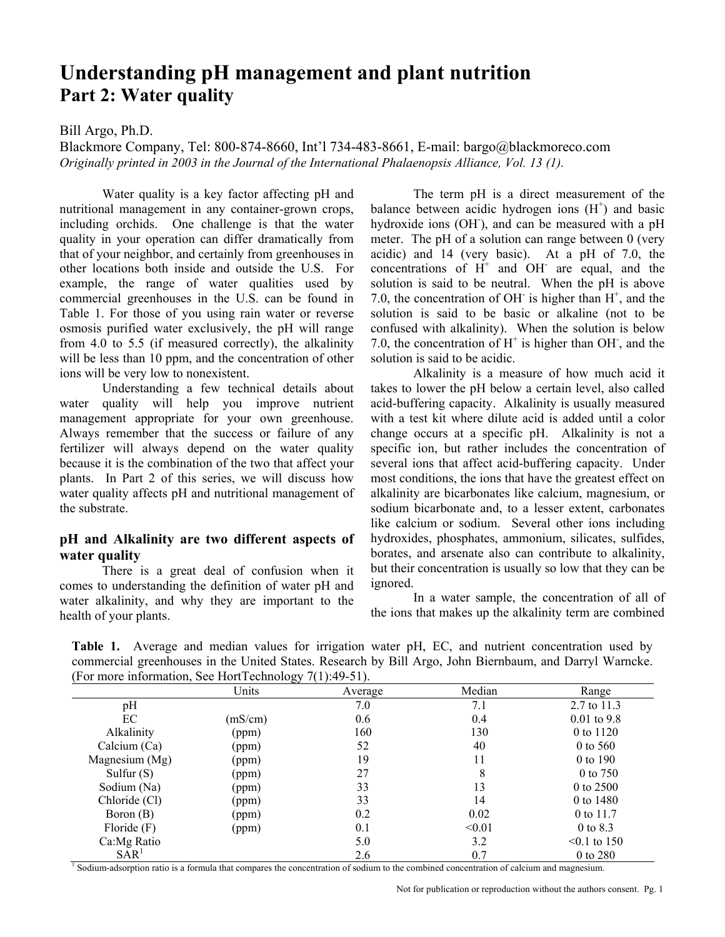# **Understanding pH management and plant nutrition Part 2: Water quality**

#### Bill Argo, Ph.D.

Blackmore Company, Tel: 800-874-8660, Int'l 734-483-8661, E-mail: bargo@blackmoreco.com *Originally printed in 2003 in the Journal of the International Phalaenopsis Alliance, Vol. 13 (1).* 

Water quality is a key factor affecting pH and nutritional management in any container-grown crops, including orchids. One challenge is that the water quality in your operation can differ dramatically from that of your neighbor, and certainly from greenhouses in other locations both inside and outside the U.S. For example, the range of water qualities used by commercial greenhouses in the U.S. can be found in Table 1. For those of you using rain water or reverse osmosis purified water exclusively, the pH will range from 4.0 to 5.5 (if measured correctly), the alkalinity will be less than 10 ppm, and the concentration of other ions will be very low to nonexistent.

 Understanding a few technical details about water quality will help you improve nutrient management appropriate for your own greenhouse. Always remember that the success or failure of any fertilizer will always depend on the water quality because it is the combination of the two that affect your plants. In Part 2 of this series, we will discuss how water quality affects pH and nutritional management of the substrate.

#### **pH and Alkalinity are two different aspects of water quality**

There is a great deal of confusion when it comes to understanding the definition of water pH and water alkalinity, and why they are important to the health of your plants.

The term pH is a direct measurement of the balance between acidic hydrogen ions  $(H<sup>+</sup>)$  and basic hydroxide ions (OH), and can be measured with a pH meter. The pH of a solution can range between 0 (very acidic) and 14 (very basic). At a pH of 7.0, the concentrations of  $H^+$  and OH are equal, and the solution is said to be neutral. When the pH is above 7.0, the concentration of OH is higher than  $H^+$ , and the solution is said to be basic or alkaline (not to be confused with alkalinity). When the solution is below 7.0, the concentration of  $H^+$  is higher than OH, and the solution is said to be acidic.

 Alkalinity is a measure of how much acid it takes to lower the pH below a certain level, also called acid-buffering capacity. Alkalinity is usually measured with a test kit where dilute acid is added until a color change occurs at a specific pH. Alkalinity is not a specific ion, but rather includes the concentration of several ions that affect acid-buffering capacity. Under most conditions, the ions that have the greatest effect on alkalinity are bicarbonates like calcium, magnesium, or sodium bicarbonate and, to a lesser extent, carbonates like calcium or sodium. Several other ions including hydroxides, phosphates, ammonium, silicates, sulfides, borates, and arsenate also can contribute to alkalinity, but their concentration is usually so low that they can be ignored.

 In a water sample, the concentration of all of the ions that makes up the alkalinity term are combined

**Table 1.** Average and median values for irrigation water pH, EC, and nutrient concentration used by commercial greenhouses in the United States. Research by Bill Argo, John Biernbaum, and Darryl Warncke. (For more information, See HortTechnology  $7(1)$ :49-51).

|                  | Units   | Average | Median | Range             |
|------------------|---------|---------|--------|-------------------|
| pH               |         | 7.0     | 7.1    | 2.7 to 11.3       |
| EC               | (mS/cm) | 0.6     | 0.4    | $0.01$ to 9.8     |
| Alkalinity       | (ppm)   | 160     | 130    | 0 to 1120         |
| Calcium $(Ca)$   | (ppm)   | 52      | 40     | $0$ to 560        |
| Magnesium (Mg)   | (ppm)   | 19      | 11     | 0 to 190          |
| Sulfur $(S)$     | (ppm)   | 27      | 8      | 0 to 750          |
| Sodium (Na)      | (ppm)   | 33      | 13     | 0 to $2500$       |
| Chloride (Cl)    | (ppm)   | 33      | 14     | 0 to 1480         |
| Boron (B)        | (ppm)   | 0.2     | 0.02   | 0 to 11.7         |
| Floride $(F)$    | (ppm)   | 0.1     | < 0.01 | 0 to 8.3          |
| Ca:Mg Ratio      |         | 5.0     | 3.2    | $\leq 0.1$ to 150 |
| SAR <sup>T</sup> |         | 2.6     | 0.7    | 0 to 280          |

Not for publication or reproduction without the authors consent. Pg. 1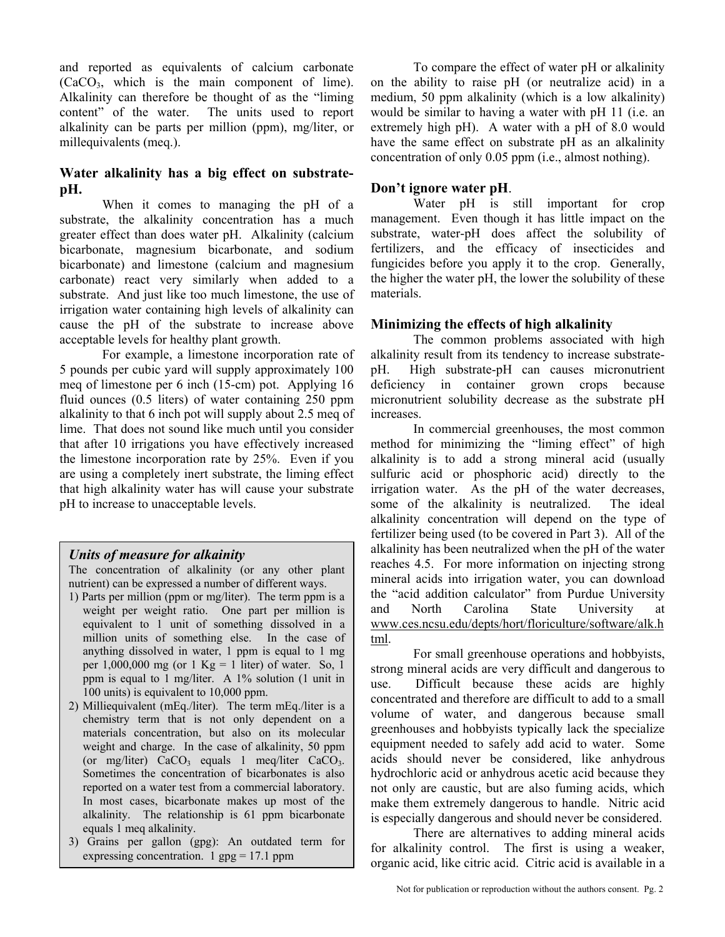and reported as equivalents of calcium carbonate (CaCO3, which is the main component of lime). Alkalinity can therefore be thought of as the "liming content" of the water. The units used to report alkalinity can be parts per million (ppm), mg/liter, or millequivalents (meq.).

# **Water alkalinity has a big effect on substratepH.**

 When it comes to managing the pH of a substrate, the alkalinity concentration has a much greater effect than does water pH. Alkalinity (calcium bicarbonate, magnesium bicarbonate, and sodium bicarbonate) and limestone (calcium and magnesium carbonate) react very similarly when added to a substrate. And just like too much limestone, the use of irrigation water containing high levels of alkalinity can cause the pH of the substrate to increase above acceptable levels for healthy plant growth.

 For example, a limestone incorporation rate of 5 pounds per cubic yard will supply approximately 100 meq of limestone per 6 inch (15-cm) pot. Applying 16 fluid ounces (0.5 liters) of water containing 250 ppm alkalinity to that 6 inch pot will supply about 2.5 meq of lime. That does not sound like much until you consider that after 10 irrigations you have effectively increased the limestone incorporation rate by 25%. Even if you are using a completely inert substrate, the liming effect that high alkalinity water has will cause your substrate pH to increase to unacceptable levels.

### *Units of measure for alkainity*

The concentration of alkalinity (or any other plant nutrient) can be expressed a number of different ways.

- 1) Parts per million (ppm or mg/liter). The term ppm is a weight per weight ratio. One part per million is equivalent to 1 unit of something dissolved in a million units of something else. In the case of anything dissolved in water, 1 ppm is equal to 1 mg per  $1,000,000$  mg (or  $1$  Kg =  $1$  liter) of water. So,  $1$ ppm is equal to 1 mg/liter. A 1% solution (1 unit in 100 units) is equivalent to 10,000 ppm.
- 2) Milliequivalent (mEq./liter). The term mEq./liter is a chemistry term that is not only dependent on a materials concentration, but also on its molecular weight and charge. In the case of alkalinity, 50 ppm (or mg/liter)  $CaCO<sub>3</sub>$  equals 1 meq/liter  $CaCO<sub>3</sub>$ . Sometimes the concentration of bicarbonates is also reported on a water test from a commercial laboratory. In most cases, bicarbonate makes up most of the alkalinity. The relationship is 61 ppm bicarbonate equals 1 meq alkalinity.
- 3) Grains per gallon (gpg): An outdated term for expressing concentration. 1  $gpg = 17.1$  ppm

 To compare the effect of water pH or alkalinity on the ability to raise pH (or neutralize acid) in a medium, 50 ppm alkalinity (which is a low alkalinity) would be similar to having a water with pH 11 (i.e. an extremely high pH). A water with a pH of 8.0 would have the same effect on substrate pH as an alkalinity concentration of only 0.05 ppm (i.e., almost nothing).

# **Don't ignore water pH**.

 Water pH is still important for crop management. Even though it has little impact on the substrate, water-pH does affect the solubility of fertilizers, and the efficacy of insecticides and fungicides before you apply it to the crop. Generally, the higher the water pH, the lower the solubility of these materials.

# **Minimizing the effects of high alkalinity**

 The common problems associated with high alkalinity result from its tendency to increase substratepH. High substrate-pH can causes micronutrient deficiency in container grown crops because micronutrient solubility decrease as the substrate pH increases.

 In commercial greenhouses, the most common method for minimizing the "liming effect" of high alkalinity is to add a strong mineral acid (usually sulfuric acid or phosphoric acid) directly to the irrigation water. As the pH of the water decreases, some of the alkalinity is neutralized. The ideal alkalinity concentration will depend on the type of fertilizer being used (to be covered in Part 3). All of the alkalinity has been neutralized when the pH of the water reaches 4.5. For more information on injecting strong mineral acids into irrigation water, you can download the "acid addition calculator" from Purdue University and North Carolina State University at www.ces.ncsu.edu/depts/hort/floriculture/software/alk.h tml.

 For small greenhouse operations and hobbyists, strong mineral acids are very difficult and dangerous to use. Difficult because these acids are highly concentrated and therefore are difficult to add to a small volume of water, and dangerous because small greenhouses and hobbyists typically lack the specialize equipment needed to safely add acid to water. Some acids should never be considered, like anhydrous hydrochloric acid or anhydrous acetic acid because they not only are caustic, but are also fuming acids, which make them extremely dangerous to handle. Nitric acid is especially dangerous and should never be considered.

 There are alternatives to adding mineral acids for alkalinity control. The first is using a weaker, organic acid, like citric acid. Citric acid is available in a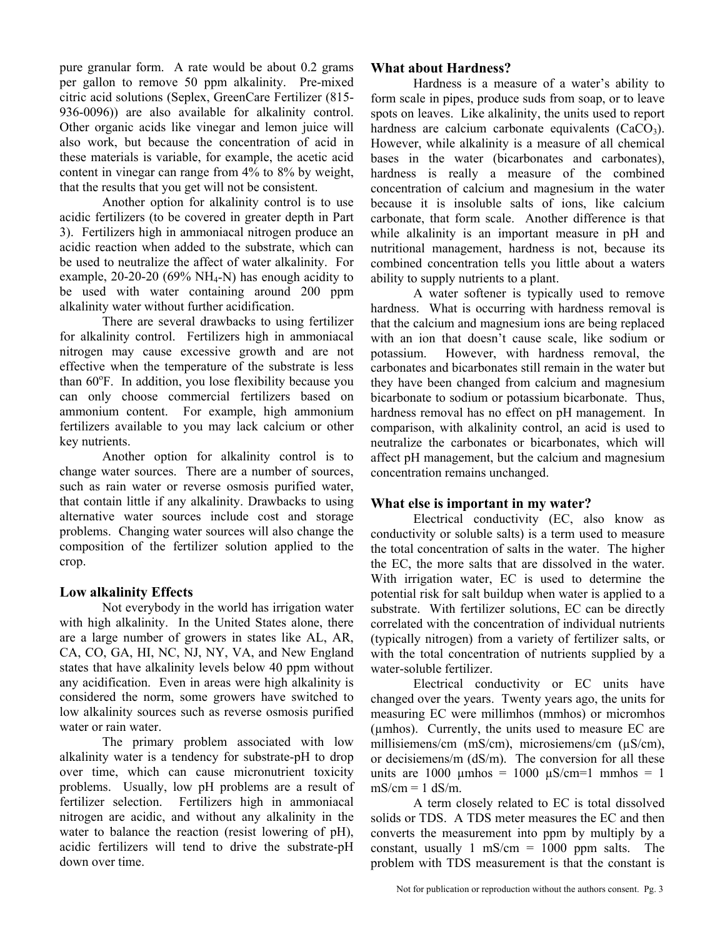pure granular form. A rate would be about 0.2 grams per gallon to remove 50 ppm alkalinity. Pre-mixed citric acid solutions (Seplex, GreenCare Fertilizer (815- 936-0096)) are also available for alkalinity control. Other organic acids like vinegar and lemon juice will also work, but because the concentration of acid in these materials is variable, for example, the acetic acid content in vinegar can range from 4% to 8% by weight, that the results that you get will not be consistent.

 Another option for alkalinity control is to use acidic fertilizers (to be covered in greater depth in Part 3). Fertilizers high in ammoniacal nitrogen produce an acidic reaction when added to the substrate, which can be used to neutralize the affect of water alkalinity. For example,  $20-20-20$  (69% NH<sub>4</sub>-N) has enough acidity to be used with water containing around 200 ppm alkalinity water without further acidification.

 There are several drawbacks to using fertilizer for alkalinity control. Fertilizers high in ammoniacal nitrogen may cause excessive growth and are not effective when the temperature of the substrate is less than 60°F. In addition, you lose flexibility because you can only choose commercial fertilizers based on ammonium content. For example, high ammonium fertilizers available to you may lack calcium or other key nutrients.

 Another option for alkalinity control is to change water sources. There are a number of sources, such as rain water or reverse osmosis purified water, that contain little if any alkalinity. Drawbacks to using alternative water sources include cost and storage problems. Changing water sources will also change the composition of the fertilizer solution applied to the crop.

### **Low alkalinity Effects**

 Not everybody in the world has irrigation water with high alkalinity. In the United States alone, there are a large number of growers in states like AL, AR, CA, CO, GA, HI, NC, NJ, NY, VA, and New England states that have alkalinity levels below 40 ppm without any acidification. Even in areas were high alkalinity is considered the norm, some growers have switched to low alkalinity sources such as reverse osmosis purified water or rain water.

 The primary problem associated with low alkalinity water is a tendency for substrate-pH to drop over time, which can cause micronutrient toxicity problems. Usually, low pH problems are a result of fertilizer selection. Fertilizers high in ammoniacal nitrogen are acidic, and without any alkalinity in the water to balance the reaction (resist lowering of pH), acidic fertilizers will tend to drive the substrate-pH down over time.

#### **What about Hardness?**

 Hardness is a measure of a water's ability to form scale in pipes, produce suds from soap, or to leave spots on leaves. Like alkalinity, the units used to report hardness are calcium carbonate equivalents  $(CaCO<sub>3</sub>)$ . However, while alkalinity is a measure of all chemical bases in the water (bicarbonates and carbonates), hardness is really a measure of the combined concentration of calcium and magnesium in the water because it is insoluble salts of ions, like calcium carbonate, that form scale. Another difference is that while alkalinity is an important measure in pH and nutritional management, hardness is not, because its combined concentration tells you little about a waters ability to supply nutrients to a plant.

 A water softener is typically used to remove hardness. What is occurring with hardness removal is that the calcium and magnesium ions are being replaced with an ion that doesn't cause scale, like sodium or potassium. However, with hardness removal, the carbonates and bicarbonates still remain in the water but they have been changed from calcium and magnesium bicarbonate to sodium or potassium bicarbonate. Thus, hardness removal has no effect on pH management. In comparison, with alkalinity control, an acid is used to neutralize the carbonates or bicarbonates, which will affect pH management, but the calcium and magnesium concentration remains unchanged.

### **What else is important in my water?**

 Electrical conductivity (EC, also know as conductivity or soluble salts) is a term used to measure the total concentration of salts in the water. The higher the EC, the more salts that are dissolved in the water. With irrigation water, EC is used to determine the potential risk for salt buildup when water is applied to a substrate. With fertilizer solutions, EC can be directly correlated with the concentration of individual nutrients (typically nitrogen) from a variety of fertilizer salts, or with the total concentration of nutrients supplied by a water-soluble fertilizer.

Electrical conductivity or EC units have changed over the years. Twenty years ago, the units for measuring EC were millimhos (mmhos) or micromhos (µmhos). Currently, the units used to measure EC are millisiemens/cm (mS/cm), microsiemens/cm (µS/cm), or decisiemens/m (dS/m). The conversion for all these units are 1000  $\mu$ mhos = 1000  $\mu$ S/cm=1 mmhos = 1  $mS/cm = 1$  dS/m.

 A term closely related to EC is total dissolved solids or TDS. A TDS meter measures the EC and then converts the measurement into ppm by multiply by a constant, usually 1 mS/cm  $= 1000$  ppm salts. The problem with TDS measurement is that the constant is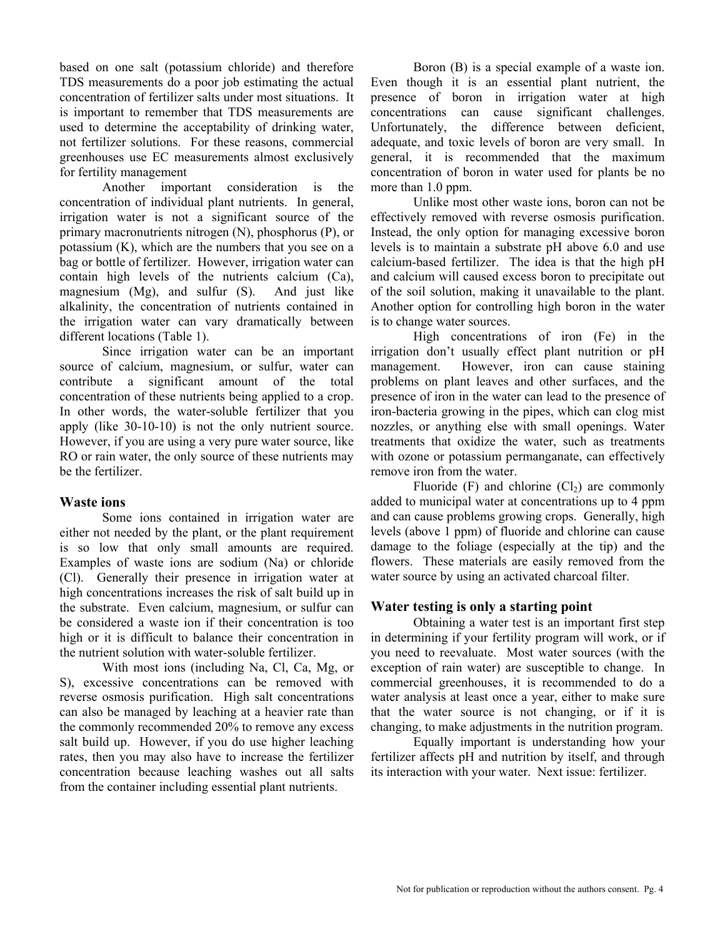based on one salt (potassium chloride) and therefore TDS measurements do a poor job estimating the actual concentration of fertilizer salts under most situations. It is important to remember that TDS measurements are used to determine the acceptability of drinking water, not fertilizer solutions. For these reasons, commercial greenhouses use EC measurements almost exclusively for fertility management

 Another important consideration is the concentration of individual plant nutrients. In general, irrigation water is not a significant source of the primary macronutrients nitrogen (N), phosphorus (P), or potassium (K), which are the numbers that you see on a bag or bottle of fertilizer. However, irrigation water can contain high levels of the nutrients calcium (Ca), magnesium (Mg), and sulfur (S). And just like alkalinity, the concentration of nutrients contained in the irrigation water can vary dramatically between different locations (Table 1).

 Since irrigation water can be an important source of calcium, magnesium, or sulfur, water can contribute a significant amount of the total concentration of these nutrients being applied to a crop. In other words, the water-soluble fertilizer that you apply (like 30-10-10) is not the only nutrient source. However, if you are using a very pure water source, like RO or rain water, the only source of these nutrients may be the fertilizer.

#### **Waste ions**

 Some ions contained in irrigation water are either not needed by the plant, or the plant requirement is so low that only small amounts are required. Examples of waste ions are sodium (Na) or chloride (Cl). Generally their presence in irrigation water at high concentrations increases the risk of salt build up in the substrate. Even calcium, magnesium, or sulfur can be considered a waste ion if their concentration is too high or it is difficult to balance their concentration in the nutrient solution with water-soluble fertilizer.

 With most ions (including Na, Cl, Ca, Mg, or S), excessive concentrations can be removed with reverse osmosis purification. High salt concentrations can also be managed by leaching at a heavier rate than the commonly recommended 20% to remove any excess salt build up. However, if you do use higher leaching rates, then you may also have to increase the fertilizer concentration because leaching washes out all salts from the container including essential plant nutrients.

Boron (B) is a special example of a waste ion. Even though it is an essential plant nutrient, the presence of boron in irrigation water at high concentrations can cause significant challenges. Unfortunately, the difference between deficient, adequate, and toxic levels of boron are very small. In general, it is recommended that the maximum concentration of boron in water used for plants be no more than 1.0 ppm.

Unlike most other waste ions, boron can not be effectively removed with reverse osmosis purification. Instead, the only option for managing excessive boron levels is to maintain a substrate pH above 6.0 and use calcium-based fertilizer. The idea is that the high pH and calcium will caused excess boron to precipitate out of the soil solution, making it unavailable to the plant. Another option for controlling high boron in the water is to change water sources.

High concentrations of iron (Fe) in the irrigation don't usually effect plant nutrition or pH management. However, iron can cause staining problems on plant leaves and other surfaces, and the presence of iron in the water can lead to the presence of iron-bacteria growing in the pipes, which can clog mist nozzles, or anything else with small openings. Water treatments that oxidize the water, such as treatments with ozone or potassium permanganate, can effectively remove iron from the water.

Fluoride (F) and chlorine  $(Cl<sub>2</sub>)$  are commonly added to municipal water at concentrations up to 4 ppm and can cause problems growing crops. Generally, high levels (above 1 ppm) of fluoride and chlorine can cause damage to the foliage (especially at the tip) and the flowers. These materials are easily removed from the water source by using an activated charcoal filter.

#### **Water testing is only a starting point**

Obtaining a water test is an important first step in determining if your fertility program will work, or if you need to reevaluate. Most water sources (with the exception of rain water) are susceptible to change. In commercial greenhouses, it is recommended to do a water analysis at least once a year, either to make sure that the water source is not changing, or if it is changing, to make adjustments in the nutrition program.

Equally important is understanding how your fertilizer affects pH and nutrition by itself, and through its interaction with your water. Next issue: fertilizer.